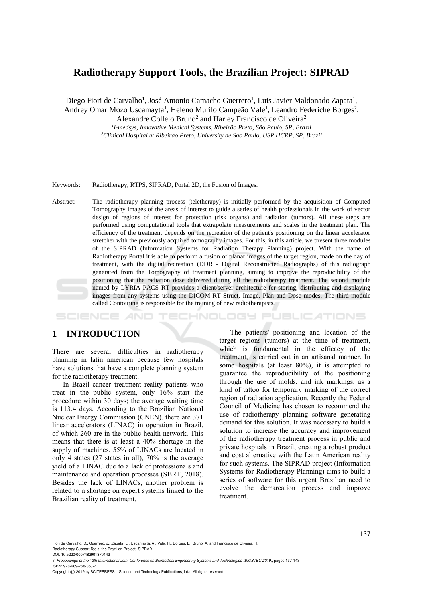# **Radiotherapy Support Tools, the Brazilian Project: SIPRAD**

Diego Fiori de Carvalho<sup>1</sup>, José Antonio Camacho Guerrero<sup>1</sup>, Luis Javier Maldonado Zapata<sup>1</sup>,

Andrey Omar Mozo Uscamayta<sup>1</sup>, Heleno Murilo Campeão Vale<sup>1</sup>, Leandro Federiche Borges<sup>2</sup>,

Alexandre Collelo Bruno<sup>2</sup> and Harley Francisco de Oliveira<sup>2</sup>

*1 I-medsys, Innovative Medical Systems, Ribeirão Preto, São Paulo, SP, Brazil <sup>2</sup>Clinical Hospital at Ribeirao Preto, University de Sao Paulo, USP HCRP, SP, Brazil*

#### Keywords: Radiotherapy, RTPS, SIPRAD, Portal 2D, the Fusion of Images.

Abstract: The radiotherapy planning process (teletherapy) is initially performed by the acquisition of Computed Tomography images of the areas of interest to guide a series of health professionals in the work of vector design of regions of interest for protection (risk organs) and radiation (tumors). All these steps are performed using computational tools that extrapolate measurements and scales in the treatment plan. The efficiency of the treatment depends on the recreation of the patient's positioning on the linear accelerator stretcher with the previously acquired tomography images. For this, in this article, we present three modules of the SIPRAD (Information Systems for Radiation Therapy Planning) project. With the name of Radiotherapy Portal it is able to perform a fusion of planar images of the target region, made on the day of treatment, with the digital recreation (DDR - Digital Reconstructed Radiographs) of this radiograph generated from the Tomography of treatment planning, aiming to improve the reproducibility of the positioning that the radiation dose delivered during all the radiotherapy treatment. The second module named by LYRIA PACS RT provides a client/server architecture for storing, distributing and displaying images from any systems using the DICOM RT Struct, Image, Plan and Dose modes. The third module called Contouring is responsible for the training of new radiotherapists.

OGY PUBLICATIONS SCIENCE

# **1 INTRODUCTION**

There are several difficulties in radiotherapy planning in latin american because few hospitals have solutions that have a complete planning system for the radiotherapy treatment.

In Brazil cancer treatment reality patients who treat in the public system, only 16% start the procedure within 30 days; the average waiting time is 113.4 days. According to the Brazilian National Nuclear Energy Commission (CNEN), there are 371 linear accelerators (LINAC) in operation in Brazil, of which 260 are in the public health network. This means that there is at least a 40% shortage in the supply of machines. 55% of LINACs are located in only 4 states (27 states in all), 70% is the average yield of a LINAC due to a lack of professionals and maintenance and operation processes (SBRT, 2018). Besides the lack of LINACs, another problem is related to a shortage on expert systems linked to the Brazilian reality of treatment.

The patients' positioning and location of the target regions (tumors) at the time of treatment, which is fundamental in the efficacy of the treatment, is carried out in an artisanal manner. In some hospitals (at least 80%), it is attempted to guarantee the reproducibility of the positioning through the use of molds, and ink markings, as a kind of tattoo for temporary marking of the correct region of radiation application. Recently the Federal Council of Medicine has chosen to recommend the use of radiotherapy planning software generating demand for this solution. It was necessary to build a solution to increase the accuracy and improvement of the radiotherapy treatment process in public and private hospitals in Brazil, creating a robust product and cost alternative with the Latin American reality for such systems. The SIPRAD project (Information Systems for Radiotherapy Planning) aims to build a series of software for this urgent Brazilian need to evolve the demarcation process and improve treatment.

Fiori de Carvalho, D., Guerrero, J., Zapata, L., Uscamayta, A., Vale, H., Borges, L., Bruno, A. and Francisco de Oliveira, H. Radiotherapy Support Tools, the Brazilian Project: SIPRAD.

DOI: 10.5220/0007482901370143

In *Proceedings of the 12th International Joint Conference on Biomedical Engineering Systems and Technologies (BIOSTEC 2019)*, pages 137-143 ISBN: 978-989-758-353-7

Copyright © 2019 by SCITEPRESS - Science and Technology Publications, Lda. All rights reserved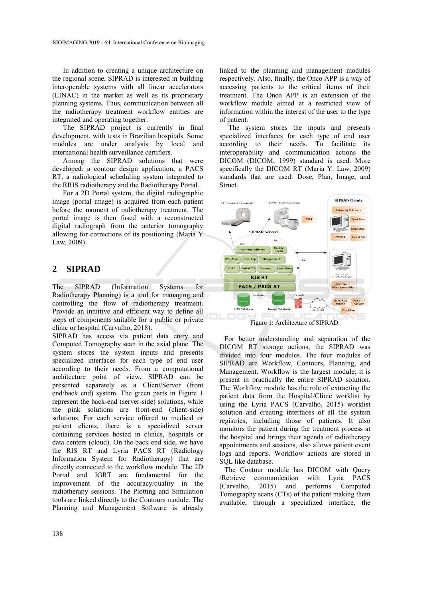In addition to creating a unique architecture on the regional scene, SIPRAD is interested in building interoperable systems with all linear accelerators (LINAC) in the market as well as its proprietary planning systems. Thus, communication between all the radiotherapy treatment workflow entities are integrated and operating together.

The SIPRAD project is currently in final development, with tests in Brazilian hospitals. Some modules are under analysis by local and international health surveillance certifiers.

Among the SIPRAD solutions that were developed: a contour design application, a PACS RT, a radiological scheduling system integrated to the RRIS radiotherapy and the Radiotherapy Portal.

For a 2D Portal system, the digital radiographic image (portal image) is acquired from each patient before the moment of radiotherapy treatment. The portal image is then fused with a reconstructed digital radiograph from the anterior tomography allowing for corrections of its positioning (Maria Y Law, 2009).

## **2 SIPRAD**

The SIPRAD (Information Systems for Radiotherapy Planning) is a tool for managing and controlling the flow of radiotherapy treatment. Provide an intuitive and efficient way to define all steps of components suitable for a public or private clinic or hospital (Carvalho, 2018).

SIPRAD has access via patient data entry and Computed Tomography scan in the axial plane. The system stores the system inputs and presents specialized interfaces for each type of end user according to their needs. From a computational architecture point of view, SIPRAD can be presented separately as a Client/Server (front end/back end) system. The green parts in Figure 1 represent the back-end (server-side) solutions, while the pink solutions are front-end (client-side) solutions. For each service offered to medical or patient clients, there is a specialized server containing services hosted in clinics, hospitals or data centers (cloud). On the back end side, we have the RIS RT and Lyria PACS RT (Radiology Information System for Radiotherapy) that are directly connected to the workflow module. The 2D Portal and IGRT are fundamental for the improvement of the accuracy/quality in the radiotherapy sessions. The Plotting and Simulation tools are linked directly to the Contours module. The Planning and Management Software is already

linked to the planning and management modules respectively. Also, finally, the Onco APP is a way of accessing patients to the critical items of their treatment. The Onco APP is an extension of the workflow module aimed at a restricted view of information within the interest of the user to the type of patient.

 The system stores the inputs and presents specialized interfaces for each type of end user according to their needs. To facilitate its interoperability and communication actions the DICOM (DICOM, 1999) standard is used. More specifically the DICOM RT (Maria Y. Law, 2009) standards that are used: Dose, Plan, Image, and Struct.



Figure 1: Architecture of SIPRAD.

For better understanding and separation of the DICOM RT storage actions, the SIPRAD was divided into four modules. The four modules of SIPRAD are Workflow, Contours, Planning, and Management. Workflow is the largest module; it is present in practically the entire SIPRAD solution. The Workflow module has the role of extracting the patient data from the Hospital/Clinic worklist by using the Lyria PACS (Carvalho, 2015) worklist solution and creating interfaces of all the system registries, including those of patients. It also monitors the patient during the treatment process at the hospital and brings their agenda of radiotherapy appointments and sessions, also allows patient event logs and reports. Workflow actions are stored in SQL like database.

The Contour module has DICOM with Query /Retrieve communication with Lyria PACS (Carvalho, 2015) and performs Computed Tomography scans (CTs) of the patient making them available, through a specialized interface, the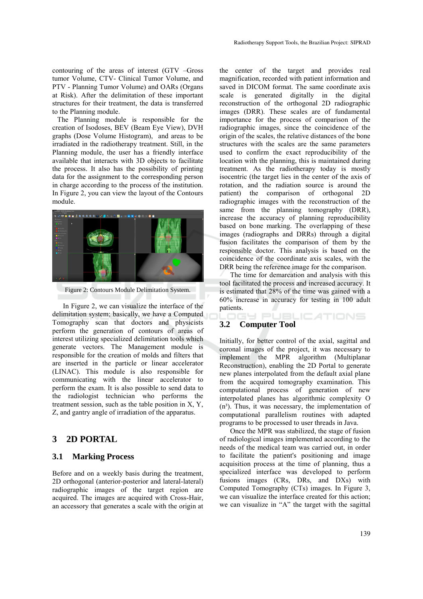contouring of the areas of interest (GTV –Gross tumor Volume, CTV- Clinical Tumor Volume, and PTV - Planning Tumor Volume) and OARs (Organs at Risk). After the delimitation of these important structures for their treatment, the data is transferred to the Planning module.

The Planning module is responsible for the creation of Isodoses, BEV (Beam Eye View), DVH graphs (Dose Volume Histogram), and areas to be irradiated in the radiotherapy treatment. Still, in the Planning module, the user has a friendly interface available that interacts with 3D objects to facilitate the process. It also has the possibility of printing data for the assignment to the corresponding person in charge according to the process of the institution. In Figure 2, you can view the layout of the Contours module.



Figure 2: Contours Module Delimitation System.

In Figure 2, we can visualize the interface of the delimitation system; basically, we have a Computed Tomography scan that doctors and physicists perform the generation of contours of areas of interest utilizing specialized delimitation tools which generate vectors. The Management module is responsible for the creation of molds and filters that are inserted in the particle or linear accelerator (LINAC). This module is also responsible for communicating with the linear accelerator to perform the exam. It is also possible to send data to the radiologist technician who performs the treatment session, such as the table position in X, Y, Z, and gantry angle of irradiation of the apparatus.

### **3 2D PORTAL**

### **3.1 Marking Process**

Before and on a weekly basis during the treatment, 2D orthogonal (anterior-posterior and lateral-lateral) radiographic images of the target region are acquired. The images are acquired with Cross-Hair, an accessory that generates a scale with the origin at

the center of the target and provides real magnification, recorded with patient information and saved in DICOM format. The same coordinate axis scale is generated digitally in the digital reconstruction of the orthogonal 2D radiographic images (DRR). These scales are of fundamental importance for the process of comparison of the radiographic images, since the coincidence of the origin of the scales, the relative distances of the bone structures with the scales are the same parameters used to confirm the exact reproducibility of the location with the planning, this is maintained during treatment. As the radiotherapy today is mostly isocentric (the target lies in the center of the axis of rotation, and the radiation source is around the patient) the comparison of orthogonal 2D radiographic images with the reconstruction of the same from the planning tomography (DRR), increase the accuracy of planning reproducibility based on bone marking. The overlapping of these images (radiographs and DRRs) through a digital fusion facilitates the comparison of them by the responsible doctor. This analysis is based on the coincidence of the coordinate axis scales, with the DRR being the reference image for the comparison.

The time for demarcation and analysis with this tool facilitated the process and increased accuracy. It is estimated that 28% of the time was gained with a 60% increase in accuracy for testing in 100 adult patients.

**JBLICATIONS** 

### **3.2 Computer Tool**

 $\left( \quad =\right)$ 

Initially, for better control of the axial, sagittal and coronal images of the project, it was necessary to implement the MPR algorithm (Multiplanar Reconstruction), enabling the 2D Portal to generate new planes interpolated from the default axial plane from the acquired tomography examination. This computational process of generation of new interpolated planes has algorithmic complexity O  $(n<sup>3</sup>)$ . Thus, it was necessary, the implementation of computational parallelism routines with adapted programs to be processed to user threads in Java.

Once the MPR was stabilized, the stage of fusion of radiological images implemented according to the needs of the medical team was carried out, in order to facilitate the patient's positioning and image acquisition process at the time of planning, thus a specialized interface was developed to perform fusions images (CRs, DRs, and DXs) with Computed Tomography (CTs) images. In Figure 3, we can visualize the interface created for this action; we can visualize in "A" the target with the sagittal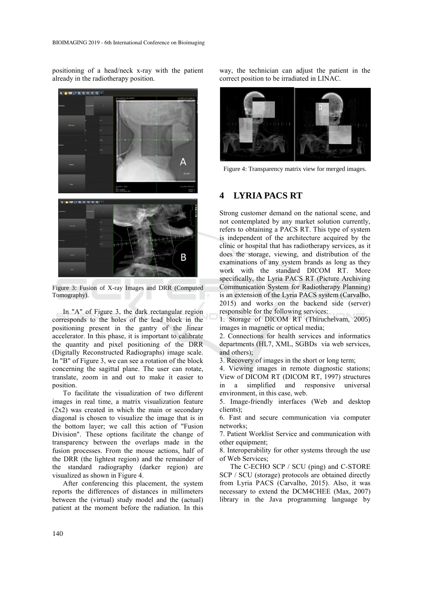positioning of a head/neck x-ray with the patient already in the radiotherapy position.



Figure 3: Fusion of X-ray Images and DRR (Computed Tomography).

In "A" of Figure 3, the dark rectangular region corresponds to the holes of the lead block in the positioning present in the gantry of the linear accelerator. In this phase, it is important to calibrate the quantity and pixel positioning of the DRR (Digitally Reconstructed Radiographs) image scale. In "B" of Figure 3, we can see a rotation of the block concerning the sagittal plane. The user can rotate, translate, zoom in and out to make it easier to position.

To facilitate the visualization of two different images in real time, a matrix visualization feature (2x2) was created in which the main or secondary diagonal is chosen to visualize the image that is in the bottom layer; we call this action of "Fusion Division". These options facilitate the change of transparency between the overlaps made in the fusion processes. From the mouse actions, half of the DRR (the lightest region) and the remainder of the standard radiography (darker region) are visualized as shown in Figure 4.

After conferencing this placement, the system reports the differences of distances in millimeters between the (virtual) study model and the (actual) patient at the moment before the radiation. In this

way, the technician can adjust the patient in the correct position to be irradiated in LINAC.



Figure 4: Transparency matrix view for merged images.

## **4 LYRIA PACS RT**

Strong customer demand on the national scene, and not contemplated by any market solution currently, refers to obtaining a PACS RT. This type of system is independent of the architecture acquired by the clinic or hospital that has radiotherapy services, as it does the storage, viewing, and distribution of the examinations of any system brands as long as they work with the standard DICOM RT. More specifically, the Lyria PACS RT (Picture Archiving Communication System for Radiotherapy Planning) is an extension of the Lyria PACS system (Carvalho, 2015) and works on the backend side (server) responsible for the following services:

1. Storage of DICOM RT (Thiruchelvam, 2005) images in magnetic or optical media;

2. Connections for health services and informatics departments (HL7, XML, SGBDs via web services, and others);

3. Recovery of images in the short or long term;

4. Viewing images in remote diagnostic stations; View of DICOM RT (DICOM RT, 1997) structures in a simplified and responsive universal environment, in this case, web.

5. Image-friendly interfaces (Web and desktop clients);

6. Fast and secure communication via computer networks;

7. Patient Worklist Service and communication with other equipment;

8. Interoperability for other systems through the use of Web Services;

The C-ECHO SCP / SCU (ping) and C-STORE SCP / SCU (storage) protocols are obtained directly from Lyria PACS (Carvalho, 2015). Also, it was necessary to extend the DCM4CHEE (Max, 2007) library in the Java programming language by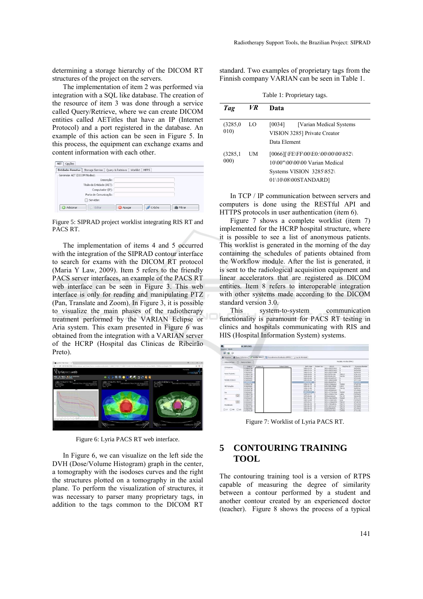determining a storage hierarchy of the DICOM RT structures of the project on the servers.

The implementation of item 2 was performed via integration with a SQL like database. The creation of the resource of item 3 was done through a service called Query/Retrieve, where we can create DICOM entities called AETitles that have an IP (Internet Protocol) and a port registered in the database. An example of this action can be seen in Figure 5. In this process, the equipment can exchange exams and content information with each other.

| Entidades Remotas<br>Storage Service   Query & Retrieve | Worklist | MPPS   |           |
|---------------------------------------------------------|----------|--------|-----------|
| Gerenciar AET (DICOM Nodes):                            |          |        |           |
| Descrição:                                              |          |        |           |
| Título da Entidade (AET):                               |          |        |           |
| Computador (IP):                                        |          |        |           |
| Porta de Comunicação:                                   |          |        |           |
| Servidor:                                               |          |        |           |
| Adicionar<br>C Editar                                   | Apagar   | C-Echo | 曲 Filtran |

Figure 5: SIPRAD project worklist integrating RIS RT and PACS RT.

The implementation of items 4 and 5 occurred with the integration of the SIPRAD contour interface to search for exams with the DICOM RT protocol (Maria Y Law, 2009). Item 5 refers to the friendly PACS server interfaces, an example of the PACS RT web interface can be seen in Figure 3. This web interface is only for reading and manipulating PTZ (Pan, Translate and Zoom). In Figure 3, it is possible to visualize the main phases of the radiotherapy treatment performed by the VARIAN Eclipse or Aria system. This exam presented in Figure 6 was obtained from the integration with a VARIAN server of the HCRP (Hospital das Clinicas de Ribeirão Preto).



Figure 6: Lyria PACS RT web interface.

In Figure 6, we can visualize on the left side the DVH (Dose/Volume Histogram) graph in the center, a tomography with the isodoses curves and the right the structures plotted on a tomography in the axial plane. To perform the visualization of structures, it was necessary to parser many proprietary tags, in addition to the tags common to the DICOM RT

standard. Two examples of proprietary tags from the Finnish company VARIAN can be seen in Table 1.

Table 1: Proprietary tags.

| Tag              | VR | Data                                                                                                                     |
|------------------|----|--------------------------------------------------------------------------------------------------------------------------|
| (3285,0)<br>010) | LO | [0034]<br>[Varian Medical Systems]<br>VISION 3285] Private Creator<br>Data Element                                       |
| (3285,1)<br>000) | UM | [0066][\FE\FF\00\E0:\00\00\00\852\<br>10\00"\00\00\00 Varian Medical<br>Systems VISION 3285\852\<br>01\10\08\00STANDARD] |

In TCP / IP communication between servers and computers is done using the RESTful API and HTTPS protocols in user authentication (item 6).

Figure 7 shows a complete worklist (item 7) implemented for the HCRP hospital structure, where it is possible to see a list of anonymous patients. This worklist is generated in the morning of the day containing the schedules of patients obtained from the Workflow module. After the list is generated, it is sent to the radiological acquisition equipment and linear accelerators that are registered as DICOM entities. Item 8 refers to interoperable integration with other systems made according to the DICOM standard version 3.0.

This system-to-system communication functionality is paramount for PACS RT testing in clinics and hospitals communicating with RIS and HIS (Hospital Information System) systems.

| HC OFFLINE)                  |                                                                                                                                                                                                                                                                                                                                     |              |                        |                                                                                                                                                                                                                                                                                                                                                                                                       |                                                                                                                 |                                                                                                                                                                                                                                                                                                                                                                                                                                   |                                                                                                                                                       |
|------------------------------|-------------------------------------------------------------------------------------------------------------------------------------------------------------------------------------------------------------------------------------------------------------------------------------------------------------------------------------|--------------|------------------------|-------------------------------------------------------------------------------------------------------------------------------------------------------------------------------------------------------------------------------------------------------------------------------------------------------------------------------------------------------------------------------------------------------|-----------------------------------------------------------------------------------------------------------------|-----------------------------------------------------------------------------------------------------------------------------------------------------------------------------------------------------------------------------------------------------------------------------------------------------------------------------------------------------------------------------------------------------------------------------------|-------------------------------------------------------------------------------------------------------------------------------------------------------|
|                              |                                                                                                                                                                                                                                                                                                                                     |              |                        |                                                                                                                                                                                                                                                                                                                                                                                                       |                                                                                                                 |                                                                                                                                                                                                                                                                                                                                                                                                                                   |                                                                                                                                                       |
|                              |                                                                                                                                                                                                                                                                                                                                     |              |                        |                                                                                                                                                                                                                                                                                                                                                                                                       |                                                                                                                 |                                                                                                                                                                                                                                                                                                                                                                                                                                   |                                                                                                                                                       |
|                              |                                                                                                                                                                                                                                                                                                                                     |              |                        |                                                                                                                                                                                                                                                                                                                                                                                                       |                                                                                                                 |                                                                                                                                                                                                                                                                                                                                                                                                                                   |                                                                                                                                                       |
| Adicionar Dem<br>Remover Dam |                                                                                                                                                                                                                                                                                                                                     |              | Modality Worldst (MML) |                                                                                                                                                                                                                                                                                                                                                                                                       |                                                                                                                 |                                                                                                                                                                                                                                                                                                                                                                                                                                   |                                                                                                                                                       |
| Status                       | Patient 33                                                                                                                                                                                                                                                                                                                          | Pottent Name | <b>Birth Date</b>      | Patient Sex                                                                                                                                                                                                                                                                                                                                                                                           | SP5 ID                                                                                                          | Red Proc 3D                                                                                                                                                                                                                                                                                                                                                                                                                       | Accession Number                                                                                                                                      |
|                              |                                                                                                                                                                                                                                                                                                                                     |              |                        |                                                                                                                                                                                                                                                                                                                                                                                                       |                                                                                                                 |                                                                                                                                                                                                                                                                                                                                                                                                                                   | 36354567                                                                                                                                              |
|                              |                                                                                                                                                                                                                                                                                                                                     |              |                        |                                                                                                                                                                                                                                                                                                                                                                                                       |                                                                                                                 |                                                                                                                                                                                                                                                                                                                                                                                                                                   | 36354569                                                                                                                                              |
|                              |                                                                                                                                                                                                                                                                                                                                     |              |                        |                                                                                                                                                                                                                                                                                                                                                                                                       |                                                                                                                 |                                                                                                                                                                                                                                                                                                                                                                                                                                   | 36354570                                                                                                                                              |
|                              |                                                                                                                                                                                                                                                                                                                                     |              |                        |                                                                                                                                                                                                                                                                                                                                                                                                       |                                                                                                                 |                                                                                                                                                                                                                                                                                                                                                                                                                                   | 37067430                                                                                                                                              |
|                              |                                                                                                                                                                                                                                                                                                                                     |              |                        |                                                                                                                                                                                                                                                                                                                                                                                                       |                                                                                                                 | 37002525                                                                                                                                                                                                                                                                                                                                                                                                                          |                                                                                                                                                       |
|                              |                                                                                                                                                                                                                                                                                                                                     |              |                        |                                                                                                                                                                                                                                                                                                                                                                                                       |                                                                                                                 |                                                                                                                                                                                                                                                                                                                                                                                                                                   | 37232443                                                                                                                                              |
|                              |                                                                                                                                                                                                                                                                                                                                     |              |                        |                                                                                                                                                                                                                                                                                                                                                                                                       |                                                                                                                 |                                                                                                                                                                                                                                                                                                                                                                                                                                   | 37171158                                                                                                                                              |
|                              |                                                                                                                                                                                                                                                                                                                                     |              |                        |                                                                                                                                                                                                                                                                                                                                                                                                       |                                                                                                                 |                                                                                                                                                                                                                                                                                                                                                                                                                                   | <b>TIPARKER</b>                                                                                                                                       |
|                              |                                                                                                                                                                                                                                                                                                                                     |              |                        |                                                                                                                                                                                                                                                                                                                                                                                                       |                                                                                                                 |                                                                                                                                                                                                                                                                                                                                                                                                                                   | 37165728                                                                                                                                              |
|                              |                                                                                                                                                                                                                                                                                                                                     |              |                        |                                                                                                                                                                                                                                                                                                                                                                                                       |                                                                                                                 |                                                                                                                                                                                                                                                                                                                                                                                                                                   | FOSS141                                                                                                                                               |
|                              |                                                                                                                                                                                                                                                                                                                                     |              |                        |                                                                                                                                                                                                                                                                                                                                                                                                       |                                                                                                                 |                                                                                                                                                                                                                                                                                                                                                                                                                                   | 36605314                                                                                                                                              |
|                              |                                                                                                                                                                                                                                                                                                                                     |              |                        |                                                                                                                                                                                                                                                                                                                                                                                                       |                                                                                                                 |                                                                                                                                                                                                                                                                                                                                                                                                                                   | 17215099                                                                                                                                              |
|                              |                                                                                                                                                                                                                                                                                                                                     |              |                        |                                                                                                                                                                                                                                                                                                                                                                                                       |                                                                                                                 |                                                                                                                                                                                                                                                                                                                                                                                                                                   | 36364490                                                                                                                                              |
|                              |                                                                                                                                                                                                                                                                                                                                     |              |                        |                                                                                                                                                                                                                                                                                                                                                                                                       |                                                                                                                 |                                                                                                                                                                                                                                                                                                                                                                                                                                   | ESTRART                                                                                                                                               |
|                              |                                                                                                                                                                                                                                                                                                                                     |              |                        |                                                                                                                                                                                                                                                                                                                                                                                                       |                                                                                                                 |                                                                                                                                                                                                                                                                                                                                                                                                                                   | 36046206                                                                                                                                              |
|                              |                                                                                                                                                                                                                                                                                                                                     |              |                        |                                                                                                                                                                                                                                                                                                                                                                                                       |                                                                                                                 |                                                                                                                                                                                                                                                                                                                                                                                                                                   | 37191123                                                                                                                                              |
|                              |                                                                                                                                                                                                                                                                                                                                     |              |                        |                                                                                                                                                                                                                                                                                                                                                                                                       |                                                                                                                 |                                                                                                                                                                                                                                                                                                                                                                                                                                   | POSSON                                                                                                                                                |
|                              |                                                                                                                                                                                                                                                                                                                                     |              |                        |                                                                                                                                                                                                                                                                                                                                                                                                       |                                                                                                                 |                                                                                                                                                                                                                                                                                                                                                                                                                                   | 37148799                                                                                                                                              |
|                              |                                                                                                                                                                                                                                                                                                                                     |              |                        |                                                                                                                                                                                                                                                                                                                                                                                                       |                                                                                                                 |                                                                                                                                                                                                                                                                                                                                                                                                                                   | 12222928                                                                                                                                              |
|                              |                                                                                                                                                                                                                                                                                                                                     |              |                        |                                                                                                                                                                                                                                                                                                                                                                                                       |                                                                                                                 |                                                                                                                                                                                                                                                                                                                                                                                                                                   | 37210640                                                                                                                                              |
|                              |                                                                                                                                                                                                                                                                                                                                     |              |                        |                                                                                                                                                                                                                                                                                                                                                                                                       |                                                                                                                 |                                                                                                                                                                                                                                                                                                                                                                                                                                   | 32210639                                                                                                                                              |
| <b>WILL BUY WWW.</b>         |                                                                                                                                                                                                                                                                                                                                     |              | <b>CONTRACTOR</b>      |                                                                                                                                                                                                                                                                                                                                                                                                       | during purpose of 4th                                                                                           | <b>Service</b>                                                                                                                                                                                                                                                                                                                                                                                                                    | 17231413<br><b>AV CANADA</b>                                                                                                                          |
|                              | COMPLETED<br>COMPLETED<br>SOUTILITO<br>COMPLETED<br>COMPLETED<br>SCHEDULED<br>SCHEDULED<br><b>SONTALISM</b><br>COMPLETED<br><b>SOVETKEED</b><br>COMPLETED<br>COMPUTED<br>SORDLARD<br>COMPLETED<br>COMPLETED<br>SCHEDLED<br>COMPLETED<br>SOUTHERN<br>SOFTEEFD<br>COMPLETED<br>SOVERAFO<br>$\Box$ or $\Box$ we $\Box$ us<br>CONFUETED |              |                        | Procedenator   8 Cuery & Retrieve   uP Worldat (MWL)   E Procedenentos Realizados (MPFS)   _ Log de Atividade<br>1961-03-26<br>1961-03-26<br>1961-03-26<br>1930-10-03<br>1938-10-03<br>1953-02-04<br>1953-02-04<br>1951-01-30<br>1950-12-15<br>1981-11-00<br>1976-02-15<br>1973-12-12<br>1976-06-08<br>2017-10-23<br>1987-12-09<br>1979-09-22<br>1963-06-28<br>1963-06-20<br>1963-06-28<br>1942-11-10 | M<br>м<br>M<br>M<br>M<br>×<br>$^{14}$<br><b>TWO FOODS IN</b><br>м<br>M<br><b>ICIDOSTA M</b><br>M<br>×<br>M<br>× | 5F2D-2092533422<br>\$FID-2052533422<br>\$P20-2092533480<br>5895397631198<br>5P20399401525<br>50001553497437<br>SPID-1085839985<br>52001553497531<br>5PEC103806362<br>SPID-505139568<br><b>SERVICE ARRESTS COLLEGE</b><br>\$200 0009000020<br>5F03-1277922044<br>\$P20-1335831374<br>\$900641460104<br>5FID-1306458659<br>5010-1169043181<br>SF00-1199082654<br>SPID1206364526<br>3P20-362916121<br>SPIELOSKAARS/S<br>970541141822 | 740412<br>740359<br>742002<br>15843<br>7404 M<br>742040<br>14804<br>742190<br>742068<br><b>YOKA</b><br>740447<br>740323<br>740371<br>740320<br>742003 |

Figure 7: Worklist of Lyria PACS RT.

# **5 CONTOURING TRAINING TOOL**

The contouring training tool is a version of RTPS capable of measuring the degree of similarity between a contour performed by a student and another contour created by an experienced doctor (teacher). Figure 8 shows the process of a typical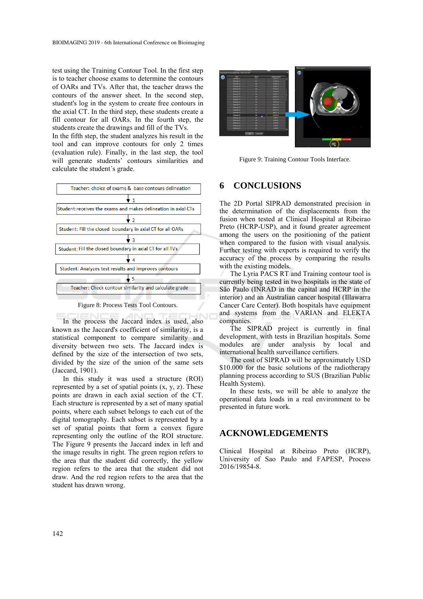test using the Training Contour Tool. In the first step is to teacher choose exams to determine the contours of OARs and TVs. After that, the teacher draws the contours of the answer sheet. In the second step, student's log in the system to create free contours in the axial CT. In the third step, these students create a fill contour for all OARs. In the fourth step, the students create the drawings and fill of the TVs.

In the fifth step, the student analyzes his result in the tool and can improve contours for only 2 times (evaluation rule). Finally, in the last step, the tool will generate students' contours similarities and calculate the student´s grade.



Figure 8: Process Tests Tool Contours.

In the process the Jaccard index is used, also known as the Jaccard's coefficient of similaritiy, is a statistical component to compare similarity and diversity between two sets. The Jaccard index is defined by the size of the intersection of two sets, divided by the size of the union of the same sets (Jaccard, 1901).

In this study it was used a structure (ROI) represented by a set of spatial points  $(x, y, z)$ . These points are drawn in each axial section of the CT. Each structure is represented by a set of many spatial points, where each subset belongs to each cut of the digital tomography. Each subset is represented by a set of spatial points that form a convex figure representing only the outline of the ROI structure. The Figure 9 presents the Jaccard index in left and the image results in right. The green region refers to the area that the student did correctly, the yellow region refers to the area that the student did not draw. And the red region refers to the area that the student has drawn wrong.



Figure 9: Training Contour Tools Interface.

### **6 CONCLUSIONS**

The 2D Portal SIPRAD demonstrated precision in the determination of the displacements from the fusion when tested at Clinical Hospital at Ribeirao Preto (HCRP-USP), and it found greater agreement among the users on the positioning of the patient when compared to the fusion with visual analysis. Further testing with experts is required to verify the accuracy of the process by comparing the results with the existing models.

The Lyria PACS RT and Training contour tool is currently being tested in two hospitals in the state of São Paulo (INRAD in the capital and HCRP in the interior) and an Australian cancer hospital (Illawarra Cancer Care Center). Both hospitals have equipment and systems from the VARIAN and ELEKTA companies.

The SIPRAD project is currently in final development, with tests in Brazilian hospitals. Some modules are under analysis by local and international health surveillance certifiers.

The cost of SIPRAD will be approximately USD \$10.000 for the basic solutions of the radiotherapy planning process according to SUS (Brazilian Public Health System).

In these tests, we will be able to analyze the operational data loads in a real environment to be presented in future work.

### **ACKNOWLEDGEMENTS**

Clinical Hospital at Ribeirao Preto (HCRP), University of Sao Paulo and FAPESP, Process 2016/19854-8.